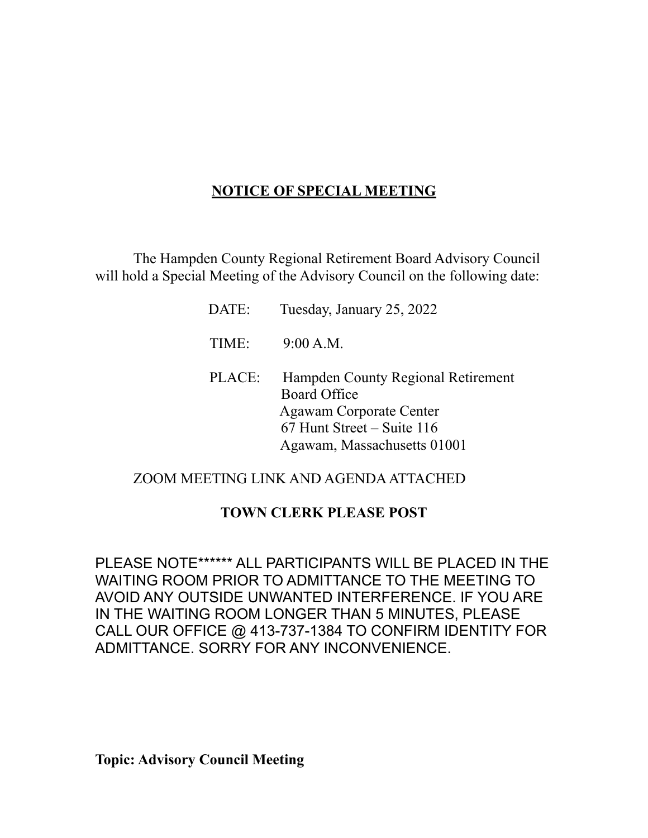# **NOTICE OF SPECIAL MEETING**

The Hampden County Regional Retirement Board Advisory Council will hold a Special Meeting of the Advisory Council on the following date:

> DATE: Tuesday, January 25, 2022 TIME: 9:00 A.M. PLACE: Hampden County Regional Retirement Board Office Agawam Corporate Center 67 Hunt Street – Suite 116 Agawam, Massachusetts 01001

## ZOOM MEETING LINK AND AGENDA ATTACHED

#### **TOWN CLERK PLEASE POST**

PLEASE NOTE\*\*\*\*\*\* ALL PARTICIPANTS WILL BE PLACED IN THE WAITING ROOM PRIOR TO ADMITTANCE TO THE MEETING TO AVOID ANY OUTSIDE UNWANTED INTERFERENCE. IF YOU ARE IN THE WAITING ROOM LONGER THAN 5 MINUTES, PLEASE CALL OUR OFFICE @ 413-737-1384 TO CONFIRM IDENTITY FOR ADMITTANCE. SORRY FOR ANY INCONVENIENCE.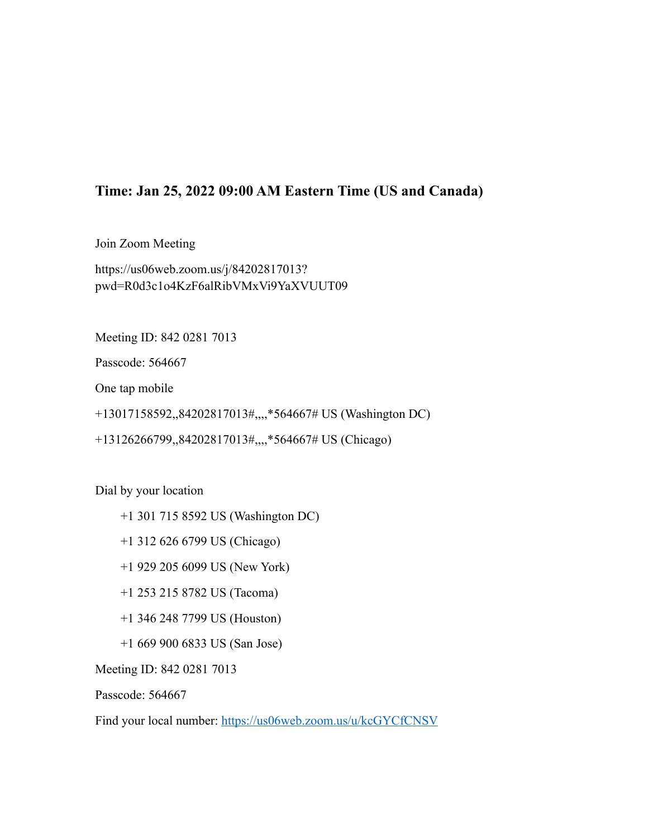### **Time: Jan 25, 2022 09:00 AM Eastern Time (US and Canada)**

Join Zoom Meeting https://us06web.zoom.us/j/84202817013? pwd=R0d3c1o4KzF6alRibVMxVi9YaXVUUT09

Meeting ID: 842 0281 7013

Passcode: 564667

One tap mobile

+13017158592,,84202817013#,,,,\*564667# US (Washington DC)

+13126266799,,84202817013#,,,,\*564667# US (Chicago)

Dial by your location

- +1 301 715 8592 US (Washington DC)
- +1 312 626 6799 US (Chicago)
- +1 929 205 6099 US (New York)
- +1 253 215 8782 US (Tacoma)
- +1 346 248 7799 US (Houston)
- +1 669 900 6833 US (San Jose)

Meeting ID: 842 0281 7013

Passcode: 564667

Find your local number:<https://us06web.zoom.us/u/kcGYCfCNSV>